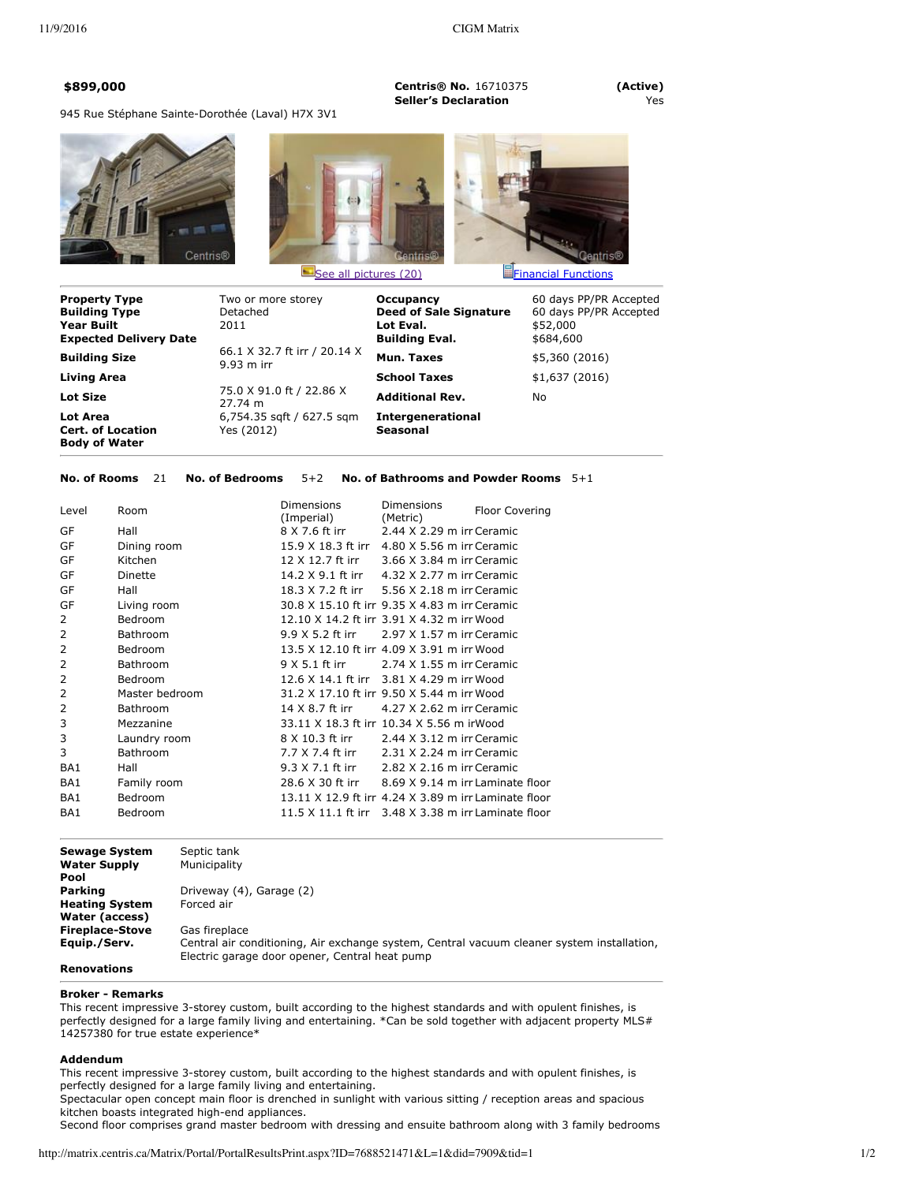**\$899,000 Centris® No.** 16710375 **(Active) Seller's Declaration** Yes

945 Rue Stéphane Sainte-Dorothée (Laval) H7X 3V1







| <b>Property Type</b><br><b>Building Type</b><br><b>Year Built</b><br><b>Expected Delivery Date</b> | Two or more storey<br>Detached<br>2011       | Occupancy<br><b>Deed of Sale Signature</b><br>Lot Eval.<br><b>Building Eval.</b> | 60 days PP/PR Accepted<br>60 days PP/PR Accepted<br>\$52,000<br>\$684,600 |
|----------------------------------------------------------------------------------------------------|----------------------------------------------|----------------------------------------------------------------------------------|---------------------------------------------------------------------------|
| <b>Building Size</b>                                                                               | 66.1 X 32.7 ft irr / 20.14 X<br>$9.93$ m irr | Mun. Taxes                                                                       | \$5,360 (2016)                                                            |
| Living Area                                                                                        |                                              | <b>School Taxes</b>                                                              | \$1,637(2016)                                                             |
| <b>Lot Size</b>                                                                                    | 75.0 X 91.0 ft / 22.86 X<br>27.74 m          | <b>Additional Rev.</b>                                                           | No.                                                                       |
| Lot Area<br><b>Cert. of Location</b><br><b>Body of Water</b>                                       | 6,754.35 sqft / 627.5 sqm<br>Yes (2012)      | <b>Intergenerational</b><br><b>Seasonal</b>                                      |                                                                           |

# **No. of Rooms** 21 **No. of Bedrooms** 5+2 **No. of Bathrooms and Powder Rooms** 5+1

| Room            | <b>Dimensions</b><br>(Imperial) | <b>Dimensions</b><br>(Metric) | <b>Floor Covering</b>                                                                                                                                                                                                                                                                                                                                                                                                                                                                                                                                                     |
|-----------------|---------------------------------|-------------------------------|---------------------------------------------------------------------------------------------------------------------------------------------------------------------------------------------------------------------------------------------------------------------------------------------------------------------------------------------------------------------------------------------------------------------------------------------------------------------------------------------------------------------------------------------------------------------------|
| Hall            | 8 X 7.6 ft irr                  | 2.44 X 2.29 m irr Ceramic     |                                                                                                                                                                                                                                                                                                                                                                                                                                                                                                                                                                           |
| Dining room     |                                 | 4.80 X 5.56 m irr Ceramic     |                                                                                                                                                                                                                                                                                                                                                                                                                                                                                                                                                                           |
| Kitchen         | 12 X 12.7 ft irr                | 3.66 X 3.84 m irr Ceramic     |                                                                                                                                                                                                                                                                                                                                                                                                                                                                                                                                                                           |
| Dinette         |                                 |                               |                                                                                                                                                                                                                                                                                                                                                                                                                                                                                                                                                                           |
| Hall            |                                 |                               |                                                                                                                                                                                                                                                                                                                                                                                                                                                                                                                                                                           |
| Living room     |                                 |                               |                                                                                                                                                                                                                                                                                                                                                                                                                                                                                                                                                                           |
| Bedroom         |                                 |                               |                                                                                                                                                                                                                                                                                                                                                                                                                                                                                                                                                                           |
| <b>Bathroom</b> | 9.9 X 5.2 ft irr                | 2.97 X 1.57 m irr Ceramic     |                                                                                                                                                                                                                                                                                                                                                                                                                                                                                                                                                                           |
| <b>Bedroom</b>  |                                 |                               |                                                                                                                                                                                                                                                                                                                                                                                                                                                                                                                                                                           |
| Bathroom        | 9 X 5.1 ft irr                  | 2.74 X 1.55 m irr Ceramic     |                                                                                                                                                                                                                                                                                                                                                                                                                                                                                                                                                                           |
| Bedroom         |                                 |                               |                                                                                                                                                                                                                                                                                                                                                                                                                                                                                                                                                                           |
| Master bedroom  |                                 |                               |                                                                                                                                                                                                                                                                                                                                                                                                                                                                                                                                                                           |
| <b>Bathroom</b> | 14 X 8.7 ft irr                 | 4.27 X 2.62 m irr Ceramic     |                                                                                                                                                                                                                                                                                                                                                                                                                                                                                                                                                                           |
| Mezzanine       |                                 |                               |                                                                                                                                                                                                                                                                                                                                                                                                                                                                                                                                                                           |
| Laundry room    | 8 X 10.3 ft irr                 | $2.44$ X $3.12$ m irr Ceramic |                                                                                                                                                                                                                                                                                                                                                                                                                                                                                                                                                                           |
| <b>Bathroom</b> | 7.7 X 7.4 ft irr                | 2.31 X 2.24 m irr Ceramic     |                                                                                                                                                                                                                                                                                                                                                                                                                                                                                                                                                                           |
| Hall            | 9.3 X 7.1 ft irr                | 2.82 X 2.16 m irr Ceramic     |                                                                                                                                                                                                                                                                                                                                                                                                                                                                                                                                                                           |
| Family room     |                                 |                               |                                                                                                                                                                                                                                                                                                                                                                                                                                                                                                                                                                           |
| Bedroom         |                                 |                               |                                                                                                                                                                                                                                                                                                                                                                                                                                                                                                                                                                           |
| <b>Bedroom</b>  |                                 |                               |                                                                                                                                                                                                                                                                                                                                                                                                                                                                                                                                                                           |
|                 |                                 |                               | 15.9 X 18.3 ft irr<br>14.2 X 9.1 ft irr 4.32 X 2.77 m irr Ceramic<br>18.3 X 7.2 ft irr 5.56 X 2.18 m irr Ceramic<br>30.8 X 15.10 ft irr 9.35 X 4.83 m irr Ceramic<br>12.10 X 14.2 ft irr 3.91 X 4.32 m irr Wood<br>13.5 X 12.10 ft irr 4.09 X 3.91 m irr Wood<br>12.6 X 14.1 ft irr 3.81 X 4.29 m irr Wood<br>31.2 X 17.10 ft irr 9.50 X 5.44 m irr Wood<br>33.11 X 18.3 ft irr 10.34 X 5.56 m irWood<br>28.6 X 30 ft irr 8.69 X 9.14 m irr Laminate floor<br>13.11 X 12.9 ft irr 4.24 X 3.89 m irr Laminate floor<br>11.5 X 11.1 ft irr 3.48 X 3.38 m irr Laminate floor |

**Sewage System** Septic tank<br> **Water Supply** Municipality **Water Supply Pool Parking Driveway (4), Garage (2)**<br>**Heating System** Forced air **Heating System Water (access) Fireplace-Stove** Gas fireplace<br>**Equip./Serv.** Central air co **Equip./Serv.** Central air conditioning, Air exchange system, Central vacuum cleaner system installation, Electric garage door opener, Central heat pump

# **Renovations**

#### **Broker Remarks**

This recent impressive 3-storey custom, built according to the highest standards and with opulent finishes, is perfectly designed for a large family living and entertaining. \*Can be sold together with adjacent property MLS# 14257380 for true estate experience\*

### **Addendum**

This recent impressive 3-storey custom, built according to the highest standards and with opulent finishes, is perfectly designed for a large family living and entertaining.

Spectacular open concept main floor is drenched in sunlight with various sitting / reception areas and spacious kitchen boasts integrated high-end appliances.

Second floor comprises grand master bedroom with dressing and ensuite bathroom along with 3 family bedrooms